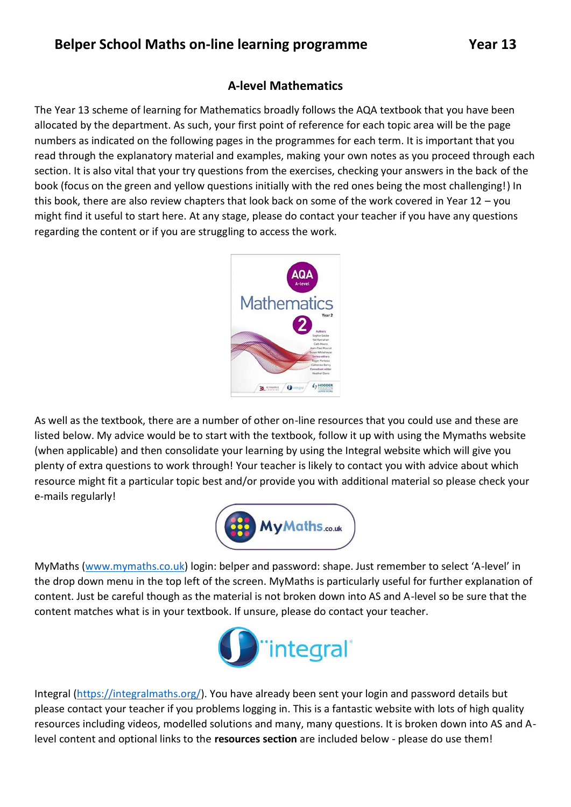## **A-level Mathematics**

The Year 13 scheme of learning for Mathematics broadly follows the AQA textbook that you have been allocated by the department. As such, your first point of reference for each topic area will be the page numbers as indicated on the following pages in the programmes for each term. It is important that you read through the explanatory material and examples, making your own notes as you proceed through each section. It is also vital that your try questions from the exercises, checking your answers in the back of the book (focus on the green and yellow questions initially with the red ones being the most challenging!) In this book, there are also review chapters that look back on some of the work covered in Year 12 – you might find it useful to start here. At any stage, please do contact your teacher if you have any questions regarding the content or if you are struggling to access the work.



As well as the textbook, there are a number of other on-line resources that you could use and these are listed below. My advice would be to start with the textbook, follow it up with using the Mymaths website (when applicable) and then consolidate your learning by using the Integral website which will give you plenty of extra questions to work through! Your teacher is likely to contact you with advice about which resource might fit a particular topic best and/or provide you with additional material so please check your e-mails regularly!



MyMaths [\(www.mymaths.co.uk](http://www.mymaths.co.uk/)) login: belper and password: shape. Just remember to select 'A-level' in the drop down menu in the top left of the screen. MyMaths is particularly useful for further explanation of content. Just be careful though as the material is not broken down into AS and A-level so be sure that the content matches what is in your textbook. If unsure, please do contact your teacher.



Integral [\(https://integralmaths.org/\)](https://integralmaths.org/). You have already been sent your login and password details but please contact your teacher if you problems logging in. This is a fantastic website with lots of high quality resources including videos, modelled solutions and many, many questions. It is broken down into AS and Alevel content and optional links to the **resources section** are included below - please do use them!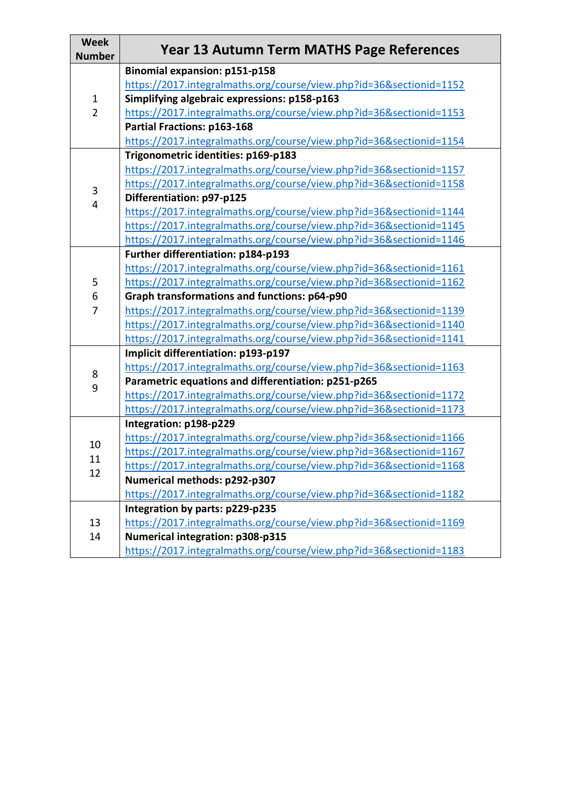| <b>Week</b><br><b>Number</b>   | <b>Year 13 Autumn Term MATHS Page References</b>                    |
|--------------------------------|---------------------------------------------------------------------|
| $\mathbf{1}$<br>$\overline{2}$ | <b>Binomial expansion: p151-p158</b>                                |
|                                | https://2017.integralmaths.org/course/view.php?id=36&sectionid=1152 |
|                                | Simplifying algebraic expressions: p158-p163                        |
|                                | https://2017.integralmaths.org/course/view.php?id=36&sectionid=1153 |
|                                | Partial Fractions: p163-168                                         |
|                                | https://2017.integralmaths.org/course/view.php?id=36&sectionid=1154 |
| 3<br>4                         | Trigonometric identities: p169-p183                                 |
|                                | https://2017.integralmaths.org/course/view.php?id=36&sectionid=1157 |
|                                | https://2017.integralmaths.org/course/view.php?id=36&sectionid=1158 |
|                                | Differentiation: p97-p125                                           |
|                                | https://2017.integralmaths.org/course/view.php?id=36&sectionid=1144 |
|                                | https://2017.integralmaths.org/course/view.php?id=36&sectionid=1145 |
|                                | https://2017.integralmaths.org/course/view.php?id=36&sectionid=1146 |
|                                | Further differentiation: p184-p193                                  |
| 5<br>6<br>$\overline{7}$       | https://2017.integralmaths.org/course/view.php?id=36&sectionid=1161 |
|                                | https://2017.integralmaths.org/course/view.php?id=36&sectionid=1162 |
|                                | Graph transformations and functions: p64-p90                        |
|                                | https://2017.integralmaths.org/course/view.php?id=36&sectionid=1139 |
|                                | https://2017.integralmaths.org/course/view.php?id=36&sectionid=1140 |
|                                | https://2017.integralmaths.org/course/view.php?id=36&sectionid=1141 |
|                                | Implicit differentiation: p193-p197                                 |
| 8<br>9                         | https://2017.integralmaths.org/course/view.php?id=36&sectionid=1163 |
|                                | Parametric equations and differentiation: p251-p265                 |
|                                | https://2017.integralmaths.org/course/view.php?id=36&sectionid=1172 |
|                                | https://2017.integralmaths.org/course/view.php?id=36&sectionid=1173 |
|                                | Integration: p198-p229                                              |
| 10                             | https://2017.integralmaths.org/course/view.php?id=36&sectionid=1166 |
| 11                             | https://2017.integralmaths.org/course/view.php?id=36&sectionid=1167 |
| 12                             | https://2017.integralmaths.org/course/view.php?id=36&sectionid=1168 |
|                                | Numerical methods: p292-p307                                        |
|                                | https://2017.integralmaths.org/course/view.php?id=36&sectionid=1182 |
| 13<br>14                       | Integration by parts: p229-p235                                     |
|                                | https://2017.integralmaths.org/course/view.php?id=36&sectionid=1169 |
|                                | Numerical integration: p308-p315                                    |
|                                | https://2017.integralmaths.org/course/view.php?id=36&sectionid=1183 |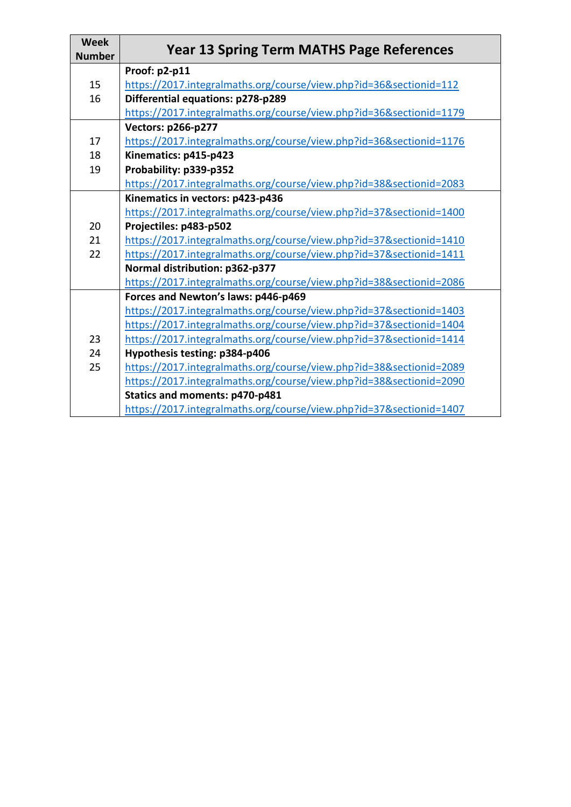| <b>Week</b><br><b>Number</b> | <b>Year 13 Spring Term MATHS Page References</b>                    |
|------------------------------|---------------------------------------------------------------------|
|                              | Proof: p2-p11                                                       |
| 15                           | https://2017.integralmaths.org/course/view.php?id=36&sectionid=112  |
| 16                           | Differential equations: p278-p289                                   |
|                              | https://2017.integralmaths.org/course/view.php?id=36&sectionid=1179 |
|                              | <b>Vectors: p266-p277</b>                                           |
| 17                           | https://2017.integralmaths.org/course/view.php?id=36&sectionid=1176 |
| 18                           | Kinematics: p415-p423                                               |
| 19                           | Probability: p339-p352                                              |
|                              | https://2017.integralmaths.org/course/view.php?id=38&sectionid=2083 |
|                              | Kinematics in vectors: p423-p436                                    |
|                              | https://2017.integralmaths.org/course/view.php?id=37&sectionid=1400 |
| 20                           | Projectiles: p483-p502                                              |
| 21                           | https://2017.integralmaths.org/course/view.php?id=37&sectionid=1410 |
| 22                           | https://2017.integralmaths.org/course/view.php?id=37&sectionid=1411 |
|                              | Normal distribution: p362-p377                                      |
|                              | https://2017.integralmaths.org/course/view.php?id=38&sectionid=2086 |
|                              | Forces and Newton's laws: p446-p469                                 |
|                              | https://2017.integralmaths.org/course/view.php?id=37&sectionid=1403 |
|                              | https://2017.integralmaths.org/course/view.php?id=37&sectionid=1404 |
| 23                           | https://2017.integralmaths.org/course/view.php?id=37&sectionid=1414 |
| 24                           | Hypothesis testing: p384-p406                                       |
| 25                           | https://2017.integralmaths.org/course/view.php?id=38&sectionid=2089 |
|                              | https://2017.integralmaths.org/course/view.php?id=38&sectionid=2090 |
|                              | Statics and moments: p470-p481                                      |
|                              | https://2017.integralmaths.org/course/view.php?id=37&sectionid=1407 |